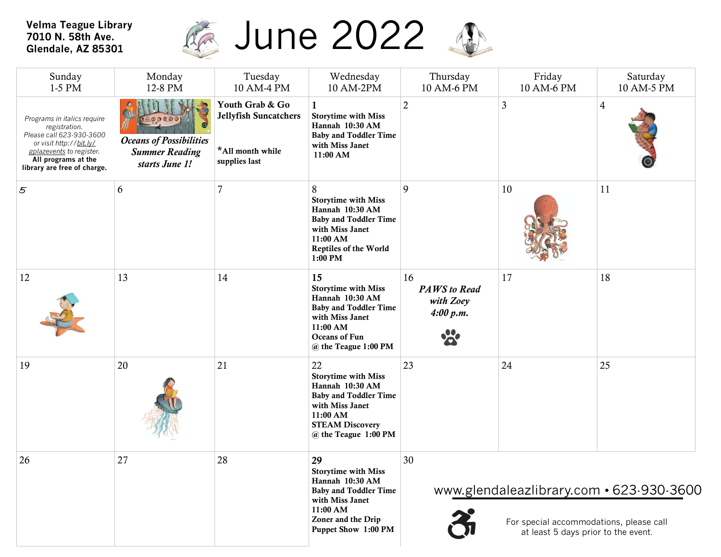## **Velma Teague Library 7010 N. 58th Ave. Glendale, AZ 85301**



| Sunday<br>1-5 PM                                                                                                                                                                      | Monday<br>12-8 PM                                                         | Tuesday<br>10 AM-4 PM                                                                | Wednesday<br>10 AM-2PM                                                                                                                                                 | Thursday<br>10 AM-6 PM                                    | Friday<br>10 AM-6 PM                                                           | Saturday<br>10 AM-5 PM                   |
|---------------------------------------------------------------------------------------------------------------------------------------------------------------------------------------|---------------------------------------------------------------------------|--------------------------------------------------------------------------------------|------------------------------------------------------------------------------------------------------------------------------------------------------------------------|-----------------------------------------------------------|--------------------------------------------------------------------------------|------------------------------------------|
| Programs in italics require<br>registration.<br>Please call 623-930-3600<br>or visit http://bit.ly/<br>gplazevents to register.<br>All programs at the<br>library are free of charge. | <b>Oceans of Possibilities</b><br><b>Summer Reading</b><br>starts June 1! | Youth Grab & Go<br><b>Jellyfish Suncatchers</b><br>*All month while<br>supplies last | <b>Storytime with Miss</b><br>Hannah 10:30 AM<br><b>Baby and Toddler Time</b><br>with Miss Janet<br>11:00 AM                                                           | $\overline{2}$                                            | 3                                                                              | $\overline{4}$                           |
| $\mathfrak{s}$                                                                                                                                                                        | 6                                                                         | $\overline{7}$                                                                       | 8<br><b>Storytime with Miss</b><br>Hannah 10:30 AM<br><b>Baby and Toddler Time</b><br>with Miss Janet<br>11:00 AM<br>Reptiles of the World<br>$1:00$ PM                | 9                                                         | 10                                                                             | 11                                       |
| 12                                                                                                                                                                                    | 13                                                                        | 14                                                                                   | 15<br><b>Storytime with Miss</b><br>Hannah 10:30 AM<br><b>Baby and Toddler Time</b><br>with Miss Janet<br>11:00 AM<br>Oceans of Fun<br>@ the Teague 1:00 PM            | 16<br><b>PAWS</b> to Read<br>with Zoey<br>4:00 p.m.<br>20 | 17                                                                             | 18                                       |
| 19                                                                                                                                                                                    | 20                                                                        | 21                                                                                   | 22<br><b>Storytime with Miss</b><br>Hannah 10:30 AM<br><b>Baby and Toddler Time</b><br>with Miss Janet<br>11:00 AM<br><b>STEAM Discovery</b><br>@ the Teague 1:00 PM   | 23                                                        | 24                                                                             | 25                                       |
| 26                                                                                                                                                                                    | 27                                                                        | 28                                                                                   | 29<br><b>Storytime with Miss</b><br>Hannah 10:30 AM<br><b>Baby and Toddler Time</b><br>with Miss Janet<br>11:00 AM<br>Zoner and the Drip<br><b>Puppet Show 1:00 PM</b> | 30                                                        | For special accommodations, please call<br>at least 5 days prior to the event. | www.glendaleazlibrary.com • 623-930-3600 |